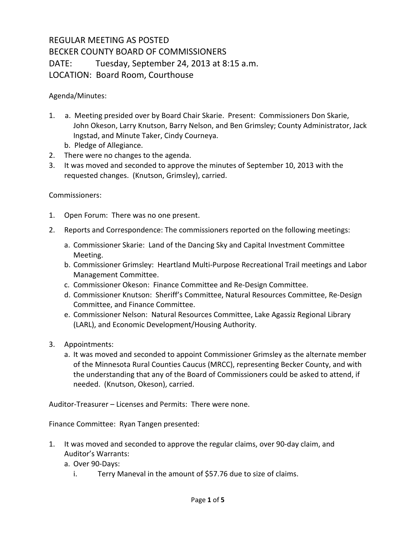## REGULAR MEETING AS POSTED BECKER COUNTY BOARD OF COMMISSIONERS DATE: Tuesday, September 24, 2013 at 8:15 a.m. LOCATION: Board Room, Courthouse

Agenda/Minutes:

- 1. a. Meeting presided over by Board Chair Skarie. Present: Commissioners Don Skarie, John Okeson, Larry Knutson, Barry Nelson, and Ben Grimsley; County Administrator, Jack Ingstad, and Minute Taker, Cindy Courneya.
	- b. Pledge of Allegiance.
- 2. There were no changes to the agenda.
- 3. It was moved and seconded to approve the minutes of September 10, 2013 with the requested changes. (Knutson, Grimsley), carried.

## Commissioners:

- 1. Open Forum: There was no one present.
- 2. Reports and Correspondence: The commissioners reported on the following meetings:
	- a. Commissioner Skarie: Land of the Dancing Sky and Capital Investment Committee Meeting.
	- b. Commissioner Grimsley: Heartland Multi-Purpose Recreational Trail meetings and Labor Management Committee.
	- c. Commissioner Okeson: Finance Committee and Re-Design Committee.
	- d. Commissioner Knutson: Sheriff's Committee, Natural Resources Committee, Re-Design Committee, and Finance Committee.
	- e. Commissioner Nelson: Natural Resources Committee, Lake Agassiz Regional Library (LARL), and Economic Development/Housing Authority.
- 3. Appointments:
	- a. It was moved and seconded to appoint Commissioner Grimsley as the alternate member of the Minnesota Rural Counties Caucus (MRCC), representing Becker County, and with the understanding that any of the Board of Commissioners could be asked to attend, if needed. (Knutson, Okeson), carried.

Auditor-Treasurer – Licenses and Permits: There were none.

Finance Committee: Ryan Tangen presented:

- 1. It was moved and seconded to approve the regular claims, over 90-day claim, and Auditor's Warrants:
	- a. Over 90-Days:
		- i. Terry Maneval in the amount of \$57.76 due to size of claims.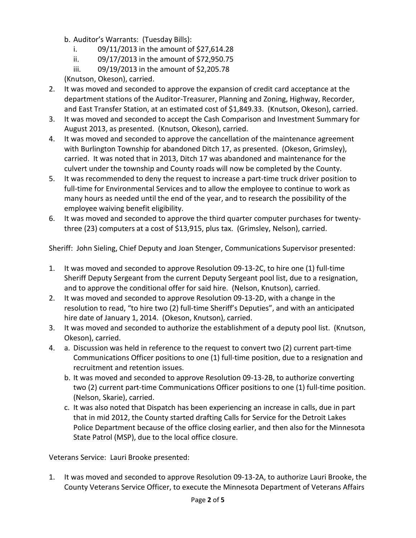- b. Auditor's Warrants: (Tuesday Bills):
	- i. 09/11/2013 in the amount of \$27,614.28
	- ii. 09/17/2013 in the amount of \$72,950.75
	- iii. 09/19/2013 in the amount of \$2,205.78

(Knutson, Okeson), carried.

- 2. It was moved and seconded to approve the expansion of credit card acceptance at the department stations of the Auditor-Treasurer, Planning and Zoning, Highway, Recorder, and East Transfer Station, at an estimated cost of \$1,849.33. (Knutson, Okeson), carried.
- 3. It was moved and seconded to accept the Cash Comparison and Investment Summary for August 2013, as presented. (Knutson, Okeson), carried.
- 4. It was moved and seconded to approve the cancellation of the maintenance agreement with Burlington Township for abandoned Ditch 17, as presented. (Okeson, Grimsley), carried. It was noted that in 2013, Ditch 17 was abandoned and maintenance for the culvert under the township and County roads will now be completed by the County.
- 5. It was recommended to deny the request to increase a part-time truck driver position to full-time for Environmental Services and to allow the employee to continue to work as many hours as needed until the end of the year, and to research the possibility of the employee waiving benefit eligibility.
- 6. It was moved and seconded to approve the third quarter computer purchases for twentythree (23) computers at a cost of \$13,915, plus tax. (Grimsley, Nelson), carried.

Sheriff: John Sieling, Chief Deputy and Joan Stenger, Communications Supervisor presented:

- 1. It was moved and seconded to approve Resolution 09-13-2C, to hire one (1) full-time Sheriff Deputy Sergeant from the current Deputy Sergeant pool list, due to a resignation, and to approve the conditional offer for said hire. (Nelson, Knutson), carried.
- 2. It was moved and seconded to approve Resolution 09-13-2D, with a change in the resolution to read, "to hire two (2) full-time Sheriff's Deputies", and with an anticipated hire date of January 1, 2014. (Okeson, Knutson), carried.
- 3. It was moved and seconded to authorize the establishment of a deputy pool list. (Knutson, Okeson), carried.
- 4. a. Discussion was held in reference to the request to convert two (2) current part-time Communications Officer positions to one (1) full-time position, due to a resignation and recruitment and retention issues.
	- b. It was moved and seconded to approve Resolution 09-13-2B, to authorize converting two (2) current part-time Communications Officer positions to one (1) full-time position. (Nelson, Skarie), carried.
	- c. It was also noted that Dispatch has been experiencing an increase in calls, due in part that in mid 2012, the County started drafting Calls for Service for the Detroit Lakes Police Department because of the office closing earlier, and then also for the Minnesota State Patrol (MSP), due to the local office closure.

Veterans Service: Lauri Brooke presented:

1. It was moved and seconded to approve Resolution 09-13-2A, to authorize Lauri Brooke, the County Veterans Service Officer, to execute the Minnesota Department of Veterans Affairs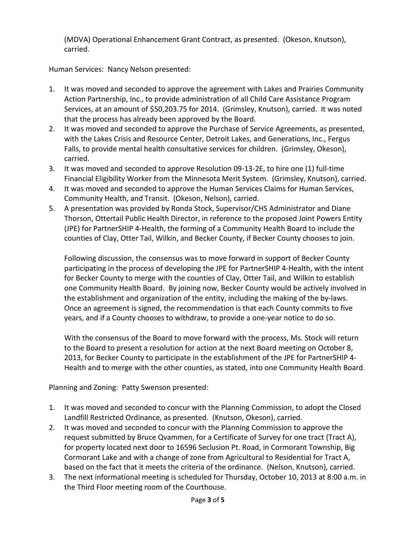(MDVA) Operational Enhancement Grant Contract, as presented. (Okeson, Knutson), carried.

Human Services: Nancy Nelson presented:

- 1. It was moved and seconded to approve the agreement with Lakes and Prairies Community Action Partnership, Inc., to provide administration of all Child Care Assistance Program Services, at an amount of \$50,203.75 for 2014. (Grimsley, Knutson), carried. It was noted that the process has already been approved by the Board.
- 2. It was moved and seconded to approve the Purchase of Service Agreements, as presented, with the Lakes Crisis and Resource Center, Detroit Lakes, and Generations, Inc., Fergus Falls, to provide mental health consultative services for children. (Grimsley, Okeson), carried.
- 3. It was moved and seconded to approve Resolution 09-13-2E, to hire one (1) full-time Financial Eligibility Worker from the Minnesota Merit System. (Grimsley, Knutson), carried.
- 4. It was moved and seconded to approve the Human Services Claims for Human Services, Community Health, and Transit. (Okeson, Nelson), carried.
- 5. A presentation was provided by Ronda Stock, Supervisor/CHS Administrator and Diane Thorson, Ottertail Public Health Director, in reference to the proposed Joint Powers Entity (JPE) for PartnerSHIP 4-Health, the forming of a Community Health Board to include the counties of Clay, Otter Tail, Wilkin, and Becker County, if Becker County chooses to join.

Following discussion, the consensus was to move forward in support of Becker County participating in the process of developing the JPE for PartnerSHIP 4-Health, with the intent for Becker County to merge with the counties of Clay, Otter Tail, and Wilkin to establish one Community Health Board. By joining now, Becker County would be actively involved in the establishment and organization of the entity, including the making of the by-laws. Once an agreement is signed, the recommendation is that each County commits to five years, and if a County chooses to withdraw, to provide a one-year notice to do so.

With the consensus of the Board to move forward with the process, Ms. Stock will return to the Board to present a resolution for action at the next Board meeting on October 8, 2013, for Becker County to participate in the establishment of the JPE for PartnerSHIP 4- Health and to merge with the other counties, as stated, into one Community Health Board.

Planning and Zoning: Patty Swenson presented:

- 1. It was moved and seconded to concur with the Planning Commission, to adopt the Closed Landfill Restricted Ordinance, as presented. (Knutson, Okeson), carried.
- 2. It was moved and seconded to concur with the Planning Commission to approve the request submitted by Bruce Qvammen, for a Certificate of Survey for one tract (Tract A), for property located next door to 16596 Seclusion Pt. Road, in Cormorant Township, Big Cormorant Lake and with a change of zone from Agricultural to Residential for Tract A, based on the fact that it meets the criteria of the ordinance. (Nelson, Knutson), carried.
- 3. The next informational meeting is scheduled for Thursday, October 10, 2013 at 8:00 a.m. in the Third Floor meeting room of the Courthouse.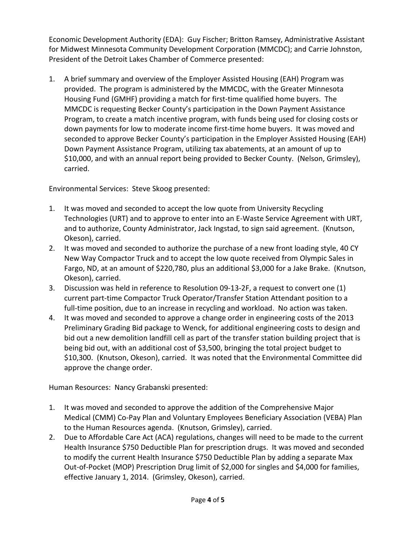Economic Development Authority (EDA): Guy Fischer; Britton Ramsey, Administrative Assistant for Midwest Minnesota Community Development Corporation (MMCDC); and Carrie Johnston, President of the Detroit Lakes Chamber of Commerce presented:

1. A brief summary and overview of the Employer Assisted Housing (EAH) Program was provided. The program is administered by the MMCDC, with the Greater Minnesota Housing Fund (GMHF) providing a match for first-time qualified home buyers. The MMCDC is requesting Becker County's participation in the Down Payment Assistance Program, to create a match incentive program, with funds being used for closing costs or down payments for low to moderate income first-time home buyers. It was moved and seconded to approve Becker County's participation in the Employer Assisted Housing (EAH) Down Payment Assistance Program, utilizing tax abatements, at an amount of up to \$10,000, and with an annual report being provided to Becker County. (Nelson, Grimsley), carried.

Environmental Services: Steve Skoog presented:

- 1. It was moved and seconded to accept the low quote from University Recycling Technologies (URT) and to approve to enter into an E-Waste Service Agreement with URT, and to authorize, County Administrator, Jack Ingstad, to sign said agreement. (Knutson, Okeson), carried.
- 2. It was moved and seconded to authorize the purchase of a new front loading style, 40 CY New Way Compactor Truck and to accept the low quote received from Olympic Sales in Fargo, ND, at an amount of \$220,780, plus an additional \$3,000 for a Jake Brake. (Knutson, Okeson), carried.
- 3. Discussion was held in reference to Resolution 09-13-2F, a request to convert one (1) current part-time Compactor Truck Operator/Transfer Station Attendant position to a full-time position, due to an increase in recycling and workload. No action was taken.
- 4. It was moved and seconded to approve a change order in engineering costs of the 2013 Preliminary Grading Bid package to Wenck, for additional engineering costs to design and bid out a new demolition landfill cell as part of the transfer station building project that is being bid out, with an additional cost of \$3,500, bringing the total project budget to \$10,300. (Knutson, Okeson), carried. It was noted that the Environmental Committee did approve the change order.

Human Resources: Nancy Grabanski presented:

- 1. It was moved and seconded to approve the addition of the Comprehensive Major Medical (CMM) Co-Pay Plan and Voluntary Employees Beneficiary Association (VEBA) Plan to the Human Resources agenda. (Knutson, Grimsley), carried.
- 2. Due to Affordable Care Act (ACA) regulations, changes will need to be made to the current Health Insurance \$750 Deductible Plan for prescription drugs. It was moved and seconded to modify the current Health Insurance \$750 Deductible Plan by adding a separate Max Out-of-Pocket (MOP) Prescription Drug limit of \$2,000 for singles and \$4,000 for families, effective January 1, 2014. (Grimsley, Okeson), carried.